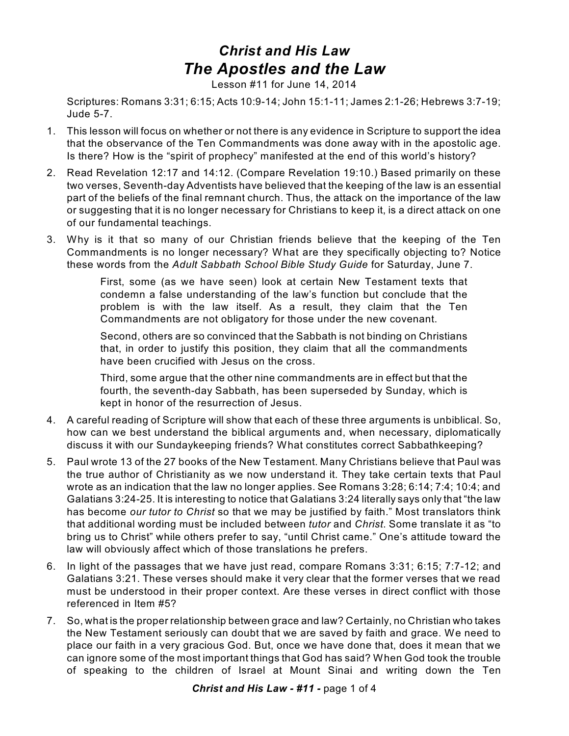## *Christ and His Law The Apostles and the Law*

Lesson #11 for June 14, 2014

Scriptures: Romans 3:31; 6:15; Acts 10:9-14; John 15:1-11; James 2:1-26; Hebrews 3:7-19; Jude 5-7.

- 1. This lesson will focus on whether or not there is any evidence in Scripture to support the idea that the observance of the Ten Commandments was done away with in the apostolic age. Is there? How is the "spirit of prophecy" manifested at the end of this world's history?
- 2. Read Revelation 12:17 and 14:12. (Compare Revelation 19:10.) Based primarily on these two verses, Seventh-day Adventists have believed that the keeping of the law is an essential part of the beliefs of the final remnant church. Thus, the attack on the importance of the law or suggesting that it is no longer necessary for Christians to keep it, is a direct attack on one of our fundamental teachings.
- 3. Why is it that so many of our Christian friends believe that the keeping of the Ten Commandments is no longer necessary? What are they specifically objecting to? Notice these words from the *Adult Sabbath School Bible Study Guide* for Saturday, June 7.

First, some (as we have seen) look at certain New Testament texts that condemn a false understanding of the law's function but conclude that the problem is with the law itself. As a result, they claim that the Ten Commandments are not obligatory for those under the new covenant.

Second, others are so convinced that the Sabbath is not binding on Christians that, in order to justify this position, they claim that all the commandments have been crucified with Jesus on the cross.

Third, some argue that the other nine commandments are in effect but that the fourth, the seventh-day Sabbath, has been superseded by Sunday, which is kept in honor of the resurrection of Jesus.

- 4. A careful reading of Scripture will show that each of these three arguments is unbiblical. So, how can we best understand the biblical arguments and, when necessary, diplomatically discuss it with our Sundaykeeping friends? What constitutes correct Sabbathkeeping?
- 5. Paul wrote 13 of the 27 books of the New Testament. Many Christians believe that Paul was the true author of Christianity as we now understand it. They take certain texts that Paul wrote as an indication that the law no longer applies. See Romans 3:28; 6:14; 7:4; 10:4; and Galatians 3:24-25. It is interesting to notice that Galatians 3:24 literally says only that "the law has become *our tutor to Christ* so that we may be justified by faith." Most translators think that additional wording must be included between *tutor* and *Christ*. Some translate it as "to bring us to Christ" while others prefer to say, "until Christ came." One's attitude toward the law will obviously affect which of those translations he prefers.
- 6. In light of the passages that we have just read, compare Romans 3:31; 6:15; 7:7-12; and Galatians 3:21. These verses should make it very clear that the former verses that we read must be understood in their proper context. Are these verses in direct conflict with those referenced in Item #5?
- 7. So, what is the proper relationship between grace and law? Certainly, no Christian who takes the New Testament seriously can doubt that we are saved by faith and grace. We need to place our faith in a very gracious God. But, once we have done that, does it mean that we can ignore some of the most important things that God has said? When God took the trouble of speaking to the children of Israel at Mount Sinai and writing down the Ten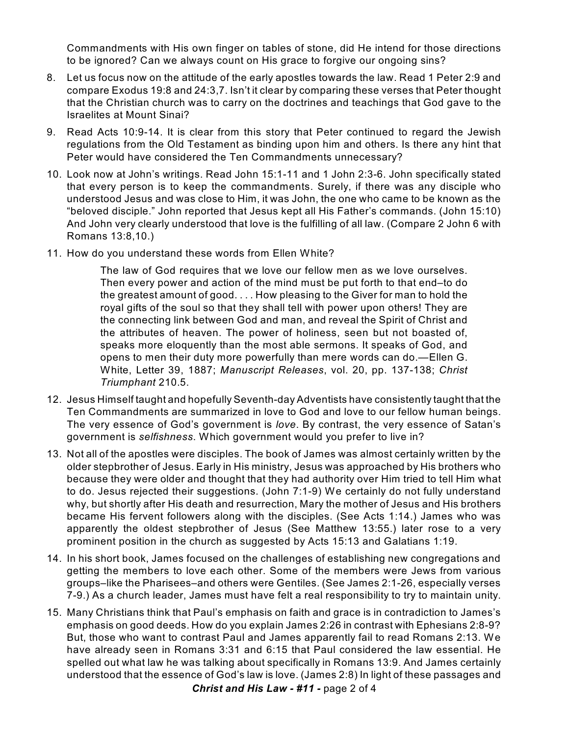Commandments with His own finger on tables of stone, did He intend for those directions to be ignored? Can we always count on His grace to forgive our ongoing sins?

- 8. Let us focus now on the attitude of the early apostles towards the law. Read 1 Peter 2:9 and compare Exodus 19:8 and 24:3,7. Isn't it clear by comparing these verses that Peter thought that the Christian church was to carry on the doctrines and teachings that God gave to the Israelites at Mount Sinai?
- 9. Read Acts 10:9-14. It is clear from this story that Peter continued to regard the Jewish regulations from the Old Testament as binding upon him and others. Is there any hint that Peter would have considered the Ten Commandments unnecessary?
- 10. Look now at John's writings. Read John 15:1-11 and 1 John 2:3-6. John specifically stated that every person is to keep the commandments. Surely, if there was any disciple who understood Jesus and was close to Him, it was John, the one who came to be known as the "beloved disciple." John reported that Jesus kept all His Father's commands. (John 15:10) And John very clearly understood that love is the fulfilling of all law. (Compare 2 John 6 with Romans 13:8,10.)
- 11. How do you understand these words from Ellen White?

The law of God requires that we love our fellow men as we love ourselves. Then every power and action of the mind must be put forth to that end–to do the greatest amount of good. . . . How pleasing to the Giver for man to hold the royal gifts of the soul so that they shall tell with power upon others! They are the connecting link between God and man, and reveal the Spirit of Christ and the attributes of heaven. The power of holiness, seen but not boasted of, speaks more eloquently than the most able sermons. It speaks of God, and opens to men their duty more powerfully than mere words can do.—Ellen G. White, Letter 39, 1887; *Manuscript Releases*, vol. 20, pp. 137-138; *Christ Triumphant* 210.5.

- 12. Jesus Himself taught and hopefully Seventh-day Adventists have consistently taught that the Ten Commandments are summarized in love to God and love to our fellow human beings. The very essence of God's government is *love*. By contrast, the very essence of Satan's government is *selfishness*. Which government would you prefer to live in?
- 13. Not all of the apostles were disciples. The book of James was almost certainly written by the older stepbrother of Jesus. Early in His ministry, Jesus was approached by His brothers who because they were older and thought that they had authority over Him tried to tell Him what to do. Jesus rejected their suggestions. (John 7:1-9) We certainly do not fully understand why, but shortly after His death and resurrection, Mary the mother of Jesus and His brothers became His fervent followers along with the disciples. (See Acts 1:14.) James who was apparently the oldest stepbrother of Jesus (See Matthew 13:55.) later rose to a very prominent position in the church as suggested by Acts 15:13 and Galatians 1:19.
- 14. In his short book, James focused on the challenges of establishing new congregations and getting the members to love each other. Some of the members were Jews from various groups–like the Pharisees–and others were Gentiles. (See James 2:1-26, especially verses 7-9.) As a church leader, James must have felt a real responsibility to try to maintain unity.
- 15. Many Christians think that Paul's emphasis on faith and grace is in contradiction to James's emphasis on good deeds. How do you explain James 2:26 in contrast with Ephesians 2:8-9? But, those who want to contrast Paul and James apparently fail to read Romans 2:13. We have already seen in Romans 3:31 and 6:15 that Paul considered the law essential. He spelled out what law he was talking about specifically in Romans 13:9. And James certainly understood that the essence of God's law is love. (James 2:8) In light of these passages and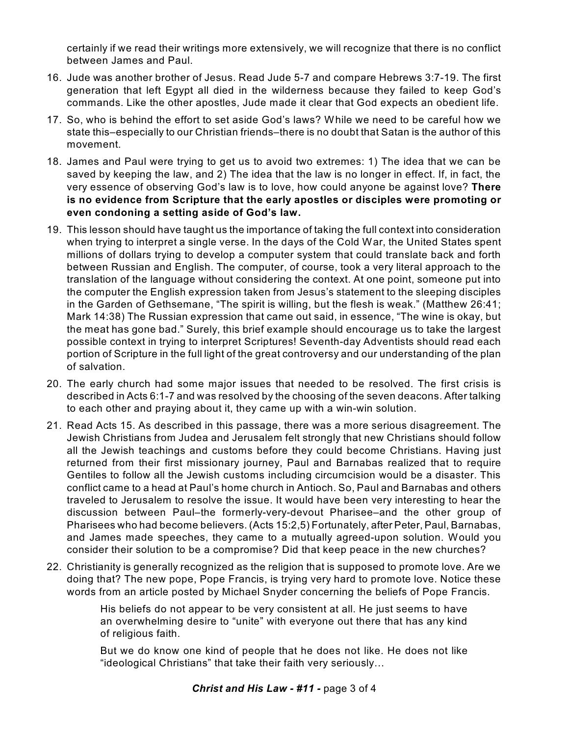certainly if we read their writings more extensively, we will recognize that there is no conflict between James and Paul.

- 16. Jude was another brother of Jesus. Read Jude 5-7 and compare Hebrews 3:7-19. The first generation that left Egypt all died in the wilderness because they failed to keep God's commands. Like the other apostles, Jude made it clear that God expects an obedient life.
- 17. So, who is behind the effort to set aside God's laws? While we need to be careful how we state this–especially to our Christian friends–there is no doubt that Satan is the author of this movement.
- 18. James and Paul were trying to get us to avoid two extremes: 1) The idea that we can be saved by keeping the law, and 2) The idea that the law is no longer in effect. If, in fact, the very essence of observing God's law is to love, how could anyone be against love? **There is no evidence from Scripture that the early apostles or disciples were promoting or even condoning a setting aside of God's law.**
- 19. This lesson should have taught us the importance of taking the full context into consideration when trying to interpret a single verse. In the days of the Cold War, the United States spent millions of dollars trying to develop a computer system that could translate back and forth between Russian and English. The computer, of course, took a very literal approach to the translation of the language without considering the context. At one point, someone put into the computer the English expression taken from Jesus's statement to the sleeping disciples in the Garden of Gethsemane, "The spirit is willing, but the flesh is weak." (Matthew 26:41; Mark 14:38) The Russian expression that came out said, in essence, "The wine is okay, but the meat has gone bad." Surely, this brief example should encourage us to take the largest possible context in trying to interpret Scriptures! Seventh-day Adventists should read each portion of Scripture in the full light of the great controversy and our understanding of the plan of salvation.
- 20. The early church had some major issues that needed to be resolved. The first crisis is described in Acts 6:1-7 and was resolved by the choosing of the seven deacons. After talking to each other and praying about it, they came up with a win-win solution.
- 21. Read Acts 15. As described in this passage, there was a more serious disagreement. The Jewish Christians from Judea and Jerusalem felt strongly that new Christians should follow all the Jewish teachings and customs before they could become Christians. Having just returned from their first missionary journey, Paul and Barnabas realized that to require Gentiles to follow all the Jewish customs including circumcision would be a disaster. This conflict came to a head at Paul's home church in Antioch. So, Paul and Barnabas and others traveled to Jerusalem to resolve the issue. It would have been very interesting to hear the discussion between Paul–the formerly-very-devout Pharisee–and the other group of Pharisees who had become believers. (Acts 15:2,5) Fortunately, after Peter, Paul, Barnabas, and James made speeches, they came to a mutually agreed-upon solution. Would you consider their solution to be a compromise? Did that keep peace in the new churches?
- 22. Christianity is generally recognized as the religion that is supposed to promote love. Are we doing that? The new pope, Pope Francis, is trying very hard to promote love. Notice these words from an article posted by Michael Snyder concerning the beliefs of Pope Francis.

His beliefs do not appear to be very consistent at all. He just seems to have an overwhelming desire to "unite" with everyone out there that has any kind of religious faith.

But we do know one kind of people that he does not like. He does not like "ideological Christians" that take their faith very seriously…